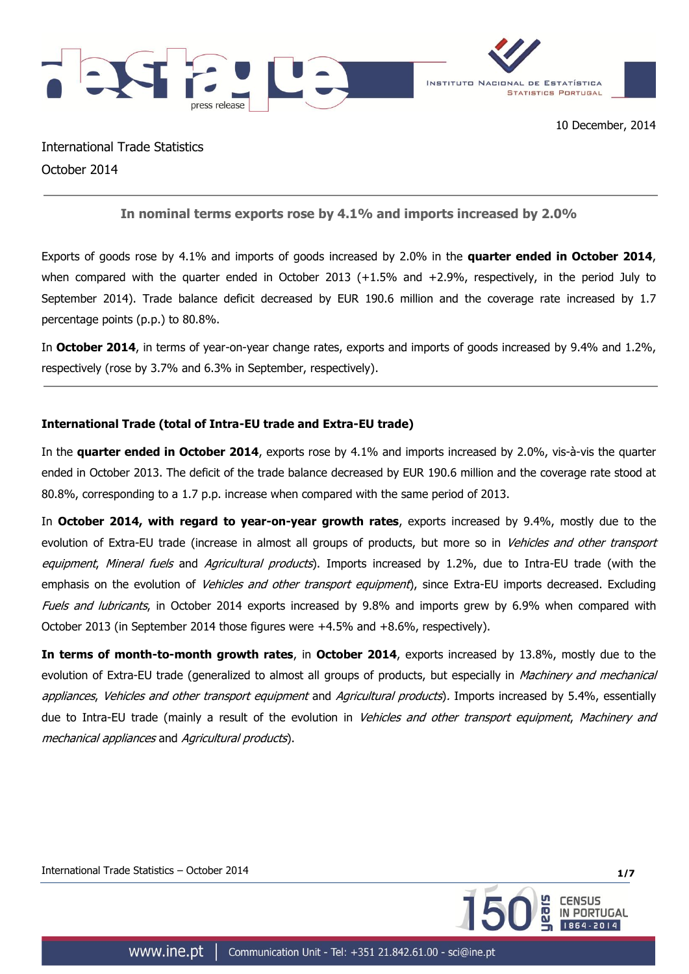

'ORTUGAL

International Trade Statistics October 2014

# **In nominal terms exports rose by 4.1% and imports increased by 2.0%**

Exports of goods rose by 4.1% and imports of goods increased by 2.0% in the **quarter ended in October 2014**, when compared with the quarter ended in October 2013 (+1.5% and +2.9%, respectively, in the period July to September 2014). Trade balance deficit decreased by EUR 190.6 million and the coverage rate increased by 1.7 percentage points (p.p.) to 80.8%.

In **October 2014**, in terms of year-on-year change rates, exports and imports of goods increased by 9.4% and 1.2%, respectively (rose by 3.7% and 6.3% in September, respectively).

# **International Trade (total of Intra-EU trade and Extra-EU trade)**

In the **quarter ended in October 2014**, exports rose by 4.1% and imports increased by 2.0%, vis-à-vis the quarter ended in October 2013. The deficit of the trade balance decreased by EUR 190.6 million and the coverage rate stood at 80.8%, corresponding to a 1.7 p.p. increase when compared with the same period of 2013.

In **October 2014, with regard to year-on-year growth rates**, exports increased by 9.4%, mostly due to the evolution of Extra-EU trade (increase in almost all groups of products, but more so in Vehicles and other transport equipment, Mineral fuels and Agricultural products). Imports increased by 1.2%, due to Intra-EU trade (with the emphasis on the evolution of *Vehicles and other transport equipment*), since Extra-EU imports decreased. Excluding Fuels and lubricants, in October 2014 exports increased by 9.8% and imports grew by 6.9% when compared with October 2013 (in September 2014 those figures were +4.5% and +8.6%, respectively).

**In terms of month-to-month growth rates**, in **October 2014**, exports increased by 13.8%, mostly due to the evolution of Extra-EU trade (generalized to almost all groups of products, but especially in Machinery and mechanical appliances, Vehicles and other transport equipment and Agricultural products). Imports increased by 5.4%, essentially due to Intra-EU trade (mainly a result of the evolution in Vehicles and other transport equipment, Machinery and mechanical appliances and Agricultural products).

International Trade Statistics – October 2014 **1/7**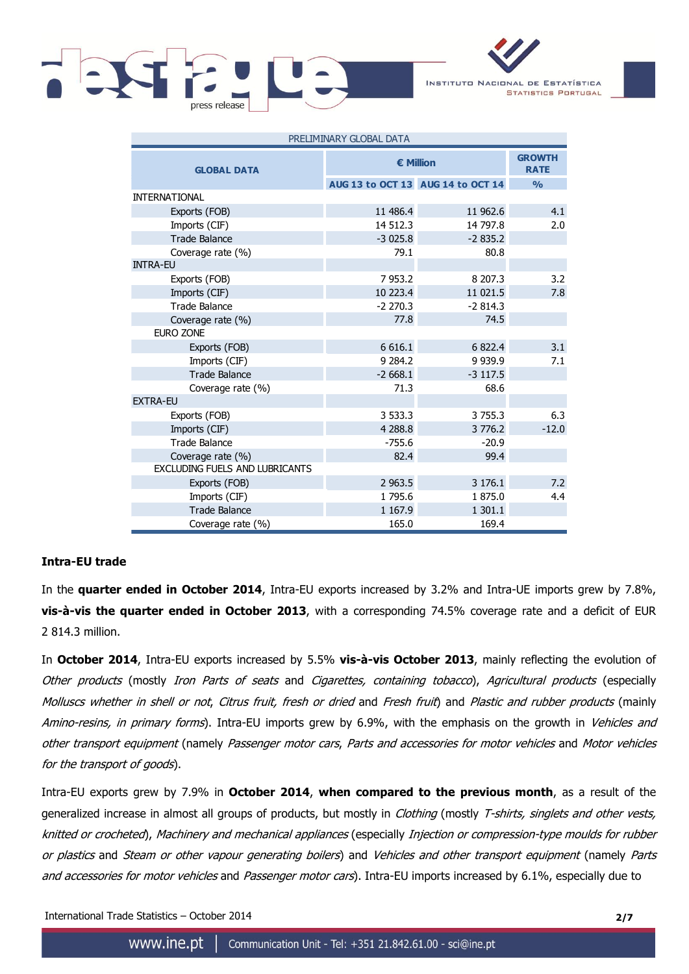

INSTITUTO NACIONAL DE ESTATÍSTICA **STATISTICS PORTUGAL** 

| PRELIMINARY GLUBAL DATA        |                  |                                   |         |  |  |  |
|--------------------------------|------------------|-----------------------------------|---------|--|--|--|
| <b>GLOBAL DATA</b>             | <b>€ Million</b> | <b>GROWTH</b><br><b>RATE</b>      |         |  |  |  |
|                                |                  | AUG 13 to OCT 13 AUG 14 to OCT 14 | O/2     |  |  |  |
| <b>INTERNATIONAL</b>           |                  |                                   |         |  |  |  |
| Exports (FOB)                  | 11 486.4         | 11 962.6                          | 4.1     |  |  |  |
| Imports (CIF)                  | 14 512.3         | 14 797.8                          | 2.0     |  |  |  |
| <b>Trade Balance</b>           | $-3025.8$        | $-2835.2$                         |         |  |  |  |
| Coverage rate (%)              | 79.1             | 80.8                              |         |  |  |  |
| <b>INTRA-EU</b>                |                  |                                   |         |  |  |  |
| Exports (FOB)                  | 7953.2           | 8 207.3                           | 3.2     |  |  |  |
| Imports (CIF)                  | 10 223.4         | 11 021.5                          | 7.8     |  |  |  |
| <b>Trade Balance</b>           | $-2270.3$        | $-2814.3$                         |         |  |  |  |
| Coverage rate (%)              | 77.8             | 74.5                              |         |  |  |  |
| <b>EURO ZONE</b>               |                  |                                   |         |  |  |  |
| Exports (FOB)                  | 6 6 1 6.1        | 6 822.4                           | 3.1     |  |  |  |
| Imports (CIF)                  | 9 2 8 4.2        | 9 9 3 9 . 9                       | 7.1     |  |  |  |
| <b>Trade Balance</b>           | $-2668.1$        | $-3$ 117.5                        |         |  |  |  |
| Coverage rate (%)              | 71.3             | 68.6                              |         |  |  |  |
| <b>EXTRA-EU</b>                |                  |                                   |         |  |  |  |
| Exports (FOB)                  | 3 533.3          | 3 7 5 5 . 3                       | 6.3     |  |  |  |
| Imports (CIF)                  | 4 2 8 8.8        | 3 7 7 6.2                         | $-12.0$ |  |  |  |
| <b>Trade Balance</b>           | $-755.6$         | $-20.9$                           |         |  |  |  |
| Coverage rate (%)              | 82.4             | 99.4                              |         |  |  |  |
| EXCLUDING FUELS AND LUBRICANTS |                  |                                   |         |  |  |  |
| Exports (FOB)                  | 2 9 6 3 .5       | 3 176.1                           | 7.2     |  |  |  |
| Imports (CIF)                  | 1 795.6          | 1875.0                            | 4.4     |  |  |  |
| <b>Trade Balance</b>           | 1 1 6 7 . 9      | 1 301.1                           |         |  |  |  |
| Coverage rate (%)              | 165.0            | 169.4                             |         |  |  |  |

PRELIMINARY GLOBAL DATA

### **Intra-EU trade**

In the **quarter ended in October 2014**, Intra-EU exports increased by 3.2% and Intra-UE imports grew by 7.8%, **vis-à-vis the quarter ended in October 2013**, with a corresponding 74.5% coverage rate and a deficit of EUR 2 814.3 million.

In **October 2014**, Intra-EU exports increased by 5.5% **vis-à-vis October 2013**, mainly reflecting the evolution of Other products (mostly Iron Parts of seats and Cigarettes, containing tobacco), Agricultural products (especially Molluscs whether in shell or not, Citrus fruit, fresh or dried and Fresh fruit) and Plastic and rubber products (mainly Amino-resins, in primary forms). Intra-EU imports grew by 6.9%, with the emphasis on the growth in Vehicles and other transport equipment (namely Passenger motor cars, Parts and accessories for motor vehicles and Motor vehicles for the transport of goods).

Intra-EU exports grew by 7.9% in **October 2014**, **when compared to the previous month**, as a result of the generalized increase in almost all groups of products, but mostly in Clothing (mostly T-shirts, singlets and other vests, knitted or crocheted), Machinery and mechanical appliances (especially Injection or compression-type moulds for rubber or plastics and Steam or other vapour generating boilers) and Vehicles and other transport equipment (namely Parts and accessories for motor vehicles and Passenger motor cars). Intra-EU imports increased by 6.1%, especially due to

International Trade Statistics – October 2014 **2/7**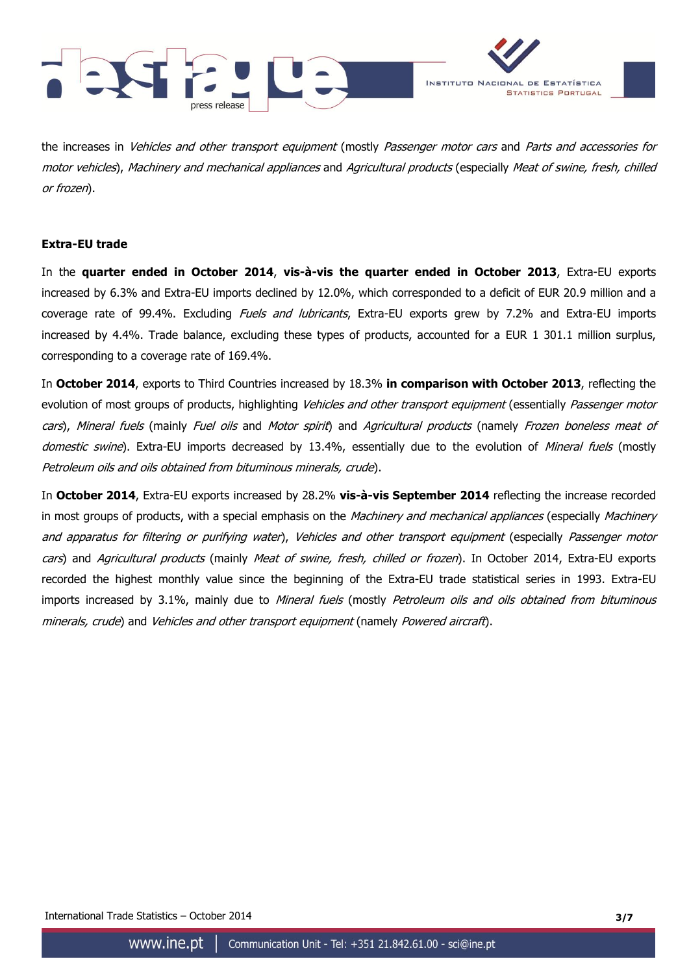



the increases in Vehicles and other transport equipment (mostly Passenger motor cars and Parts and accessories for motor vehicles), Machinery and mechanical appliances and Agricultural products (especially Meat of swine, fresh, chilled or frozen).

## **Extra-EU trade**

In the **quarter ended in October 2014**, **vis-à-vis the quarter ended in October 2013**, Extra-EU exports increased by 6.3% and Extra-EU imports declined by 12.0%, which corresponded to a deficit of EUR 20.9 million and a coverage rate of 99.4%. Excluding *Fuels and lubricants*, Extra-EU exports grew by 7.2% and Extra-EU imports increased by 4.4%. Trade balance, excluding these types of products, accounted for a EUR 1 301.1 million surplus, corresponding to a coverage rate of 169.4%.

In **October 2014**, exports to Third Countries increased by 18.3% **in comparison with October 2013**, reflecting the evolution of most groups of products, highlighting Vehicles and other transport equipment (essentially Passenger motor cars), Mineral fuels (mainly Fuel oils and Motor spirit) and Agricultural products (namely Frozen boneless meat of domestic swine). Extra-EU imports decreased by 13.4%, essentially due to the evolution of Mineral fuels (mostly Petroleum oils and oils obtained from bituminous minerals, crude).

In **October 2014**, Extra-EU exports increased by 28.2% **vis-à-vis September 2014** reflecting the increase recorded in most groups of products, with a special emphasis on the Machinery and mechanical appliances (especially Machinery and apparatus for filtering or purifying water), Vehicles and other transport equipment (especially Passenger motor cars) and Agricultural products (mainly Meat of swine, fresh, chilled or frozen). In October 2014, Extra-EU exports recorded the highest monthly value since the beginning of the Extra-EU trade statistical series in 1993. Extra-EU imports increased by 3.1%, mainly due to Mineral fuels (mostly Petroleum oils and oils obtained from bituminous minerals, crude) and Vehicles and other transport equipment (namely Powered aircraft).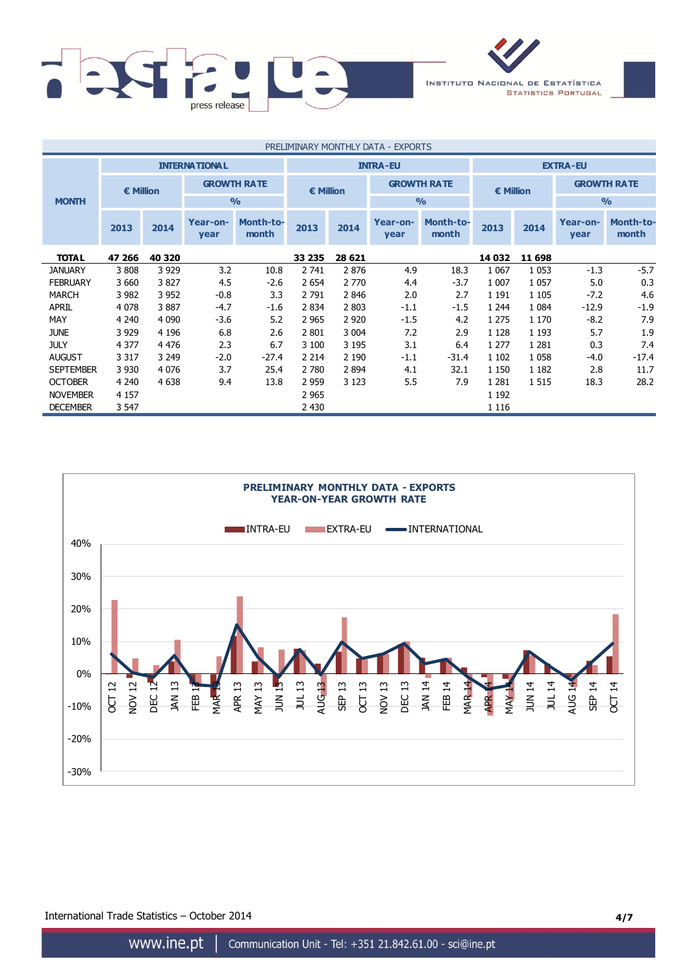

| PRELIMINARY MONTHLY DATA - EXPORTS |         |                      |                    |                    |                    |                 |                    |                    |                    |         |                    |                           |
|------------------------------------|---------|----------------------|--------------------|--------------------|--------------------|-----------------|--------------------|--------------------|--------------------|---------|--------------------|---------------------------|
|                                    |         | <b>INTERNATIONAL</b> |                    |                    |                    | <b>INTRA-EU</b> |                    |                    | <b>EXTRA-EU</b>    |         |                    |                           |
| € Million                          |         |                      | <b>GROWTH RATE</b> |                    | $\epsilon$ Million |                 | <b>GROWTH RATE</b> |                    | $\epsilon$ Million |         | <b>GROWTH RATE</b> |                           |
| <b>MONTH</b>                       |         |                      |                    | $\frac{0}{0}$      |                    |                 | $\frac{9}{0}$      |                    |                    |         | $\frac{0}{0}$      |                           |
|                                    | 2013    | 2014                 | Year-on-<br>year   | Month-to-<br>month | 2013               | 2014            | Year-on-<br>year   | Month-to-<br>month | 2013               | 2014    | Year-on-<br>year   | <b>Month-to-</b><br>month |
| <b>TOTAL</b>                       | 47 266  | 40 320               |                    |                    | 33 235             | 28 621          |                    |                    | 14 032             | 11 698  |                    |                           |
| <b>JANUARY</b>                     | 3808    | 3 9 2 9              | 3.2                | 10.8               | 2 741              | 2876            | 4.9                | 18.3               | 1 0 6 7            | 1 0 5 3 | $-1.3$             | $-5.7$                    |
| <b>FEBRUARY</b>                    | 3 6 6 0 | 3827                 | 4.5                | $-2.6$             | 2 6 5 4            | 2 7 7 0         | 4.4                | $-3.7$             | 1 0 0 7            | 1 0 5 7 | 5.0                | 0.3                       |
| <b>MARCH</b>                       | 3 9 8 2 | 3 9 5 2              | $-0.8$             | 3.3                | 2 7 9 1            | 2846            | 2.0                | 2.7                | 1 1 9 1            | 1 1 0 5 | $-7.2$             | 4.6                       |
| <b>APRIL</b>                       | 4 0 7 8 | 3887                 | $-4.7$             | $-1.6$             | 2 8 3 4            | 2 8 0 3         | $-1.1$             | $-1.5$             | 1 2 4 4            | 1 0 8 4 | $-12.9$            | $-1.9$                    |
| MAY                                | 4 2 4 0 | 4 0 9 0              | $-3.6$             | 5.2                | 2 9 6 5            | 2 9 2 0         | $-1.5$             | 4.2                | 1 2 7 5            | 1 1 7 0 | $-8.2$             | 7.9                       |
| <b>JUNE</b>                        | 3 9 2 9 | 4 1 9 6              | 6.8                | 2.6                | 2 8 0 1            | 3 0 0 4         | 7.2                | 2.9                | 1 1 2 8            | 1 1 9 3 | 5.7                | 1.9                       |
| <b>JULY</b>                        | 4 3 7 7 | 4 4 7 6              | 2.3                | 6.7                | 3 100              | 3 1 9 5         | 3.1                | 6.4                | 1 2 7 7            | 1 2 8 1 | 0.3                | 7.4                       |
| <b>AUGUST</b>                      | 3 3 1 7 | 3 2 4 9              | $-2.0$             | $-27.4$            | 2 2 1 4            | 2 1 9 0         | $-1.1$             | $-31.4$            | 1 1 0 2            | 1 0 5 8 | -4.0               | $-17.4$                   |
| <b>SEPTEMBER</b>                   | 3 9 3 0 | 4076                 | 3.7                | 25.4               | 2 7 8 0            | 2 8 9 4         | 4.1                | 32.1               | 1 1 5 0            | 1 1 8 2 | 2.8                | 11.7                      |
| <b>OCTOBER</b>                     | 4 2 4 0 | 4 6 3 8              | 9.4                | 13.8               | 2 9 5 9            | 3 1 2 3         | 5.5                | 7.9                | 1 2 8 1            | 1 5 1 5 | 18.3               | 28.2                      |
| <b>NOVEMBER</b>                    | 4 1 5 7 |                      |                    |                    | 2 9 6 5            |                 |                    |                    | 1 1 9 2            |         |                    |                           |
| <b>DECEMBER</b>                    | 3 5 4 7 |                      |                    |                    | 2 4 3 0            |                 |                    |                    | 1 1 1 6            |         |                    |                           |



International Trade Statistics – October 2014 **4/7**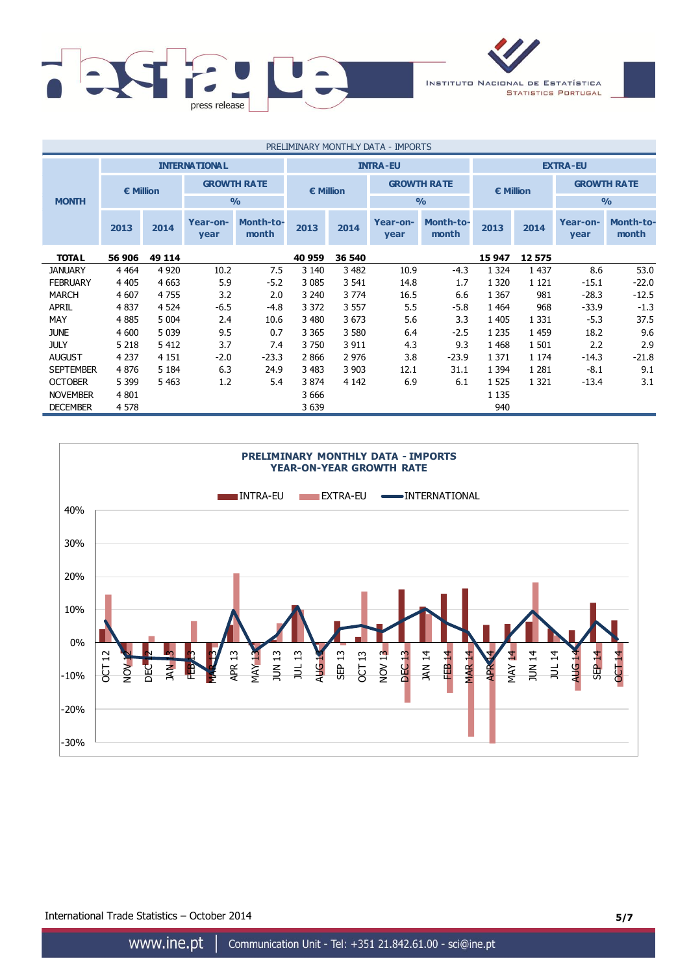

| PRELIMINARY MONTHLY DATA - IMPORTS |                                         |         |                    |                           |                  |                 |                    |                           |           |         |                    |                           |
|------------------------------------|-----------------------------------------|---------|--------------------|---------------------------|------------------|-----------------|--------------------|---------------------------|-----------|---------|--------------------|---------------------------|
|                                    | <b>INTERNATIONAL</b><br><b>INTRA-EU</b> |         |                    |                           |                  | <b>EXTRA-EU</b> |                    |                           |           |         |                    |                           |
|                                    | € Million                               |         | <b>GROWTH RATE</b> |                           | <b>€ Million</b> |                 | <b>GROWTH RATE</b> |                           | € Million |         | <b>GROWTH RATE</b> |                           |
| <b>MONTH</b>                       |                                         |         |                    | $\frac{0}{0}$             |                  |                 |                    | $\frac{0}{0}$             |           |         | $\frac{0}{0}$      |                           |
|                                    | 2013                                    | 2014    | Year-on-<br>year   | <b>Month-to-</b><br>month | 2013             | 2014            | Year-on-<br>year   | <b>Month-to-</b><br>month | 2013      | 2014    | Year-on-<br>year   | <b>Month-to-</b><br>month |
| <b>TOTAL</b>                       | 56 906                                  | 49 114  |                    |                           | 40 959           | 36 540          |                    |                           | 15 947    | 12575   |                    |                           |
| <b>JANUARY</b>                     | 4 4 6 4                                 | 4 9 20  | 10.2               | 7.5                       | 3 1 4 0          | 3 4 8 2         | 10.9               | $-4.3$                    | 1 3 2 4   | 1 4 3 7 | 8.6                | 53.0                      |
| <b>FEBRUARY</b>                    | 4 4 0 5                                 | 4 6 63  | 5.9                | $-5.2$                    | 3 0 8 5          | 3 5 4 1         | 14.8               | 1.7                       | 1 3 2 0   | 1 1 2 1 | $-15.1$            | $-22.0$                   |
| <b>MARCH</b>                       | 4 607                                   | 4755    | 3.2                | 2.0                       | 3 2 4 0          | 3 7 7 4         | 16.5               | 6.6                       | 1 3 6 7   | 981     | $-28.3$            | $-12.5$                   |
| <b>APRIL</b>                       | 4 8 3 7                                 | 4 5 2 4 | $-6.5$             | -4.8                      | 3 3 7 2          | 3 5 5 7         | 5.5                | $-5.8$                    | 1 4 6 4   | 968     | $-33.9$            | $-1.3$                    |
| MAY                                | 4 8 8 5                                 | 5 0 0 4 | 2.4                | 10.6                      | 3 4 8 0          | 3 6 7 3         | 5.6                | 3.3                       | 1 4 0 5   | 1 3 3 1 | $-5.3$             | 37.5                      |
| <b>JUNE</b>                        | 4 600                                   | 5 0 3 9 | 9.5                | 0.7                       | 3 3 6 5          | 3 5 8 0         | 6.4                | $-2.5$                    | 1 2 3 5   | 1 4 5 9 | 18.2               | 9.6                       |
| <b>JULY</b>                        | 5 2 1 8                                 | 5412    | 3.7                | 7.4                       | 3 7 5 0          | 3 9 1 1         | 4.3                | 9.3                       | 1 4 6 8   | 1 501   | 2.2                | 2.9                       |
| <b>AUGUST</b>                      | 4 2 3 7                                 | 4 1 5 1 | $-2.0$             | $-23.3$                   | 2866             | 2 9 7 6         | 3.8                | $-23.9$                   | 1 3 7 1   | 1 1 7 4 | $-14.3$            | $-21.8$                   |
| <b>SEPTEMBER</b>                   | 4876                                    | 5 1 8 4 | 6.3                | 24.9                      | 3 4 8 3          | 3 9 0 3         | 12.1               | 31.1                      | 1 3 9 4   | 1 2 8 1 | $-8.1$             | 9.1                       |
| <b>OCTOBER</b>                     | 5 3 9 9                                 | 5 4 6 3 | 1.2                | 5.4                       | 3 8 7 4          | 4 1 4 2         | 6.9                | 6.1                       | 1 5 2 5   | 1 3 2 1 | $-13.4$            | 3.1                       |
| <b>NOVEMBER</b>                    | 4 8 0 1                                 |         |                    |                           | 3 6 6 6          |                 |                    |                           | 1 1 3 5   |         |                    |                           |
| <b>DECEMBER</b>                    | 4 5 7 8                                 |         |                    |                           | 3 639            |                 |                    |                           | 940       |         |                    |                           |



International Trade Statistics – October 2014 **5/7**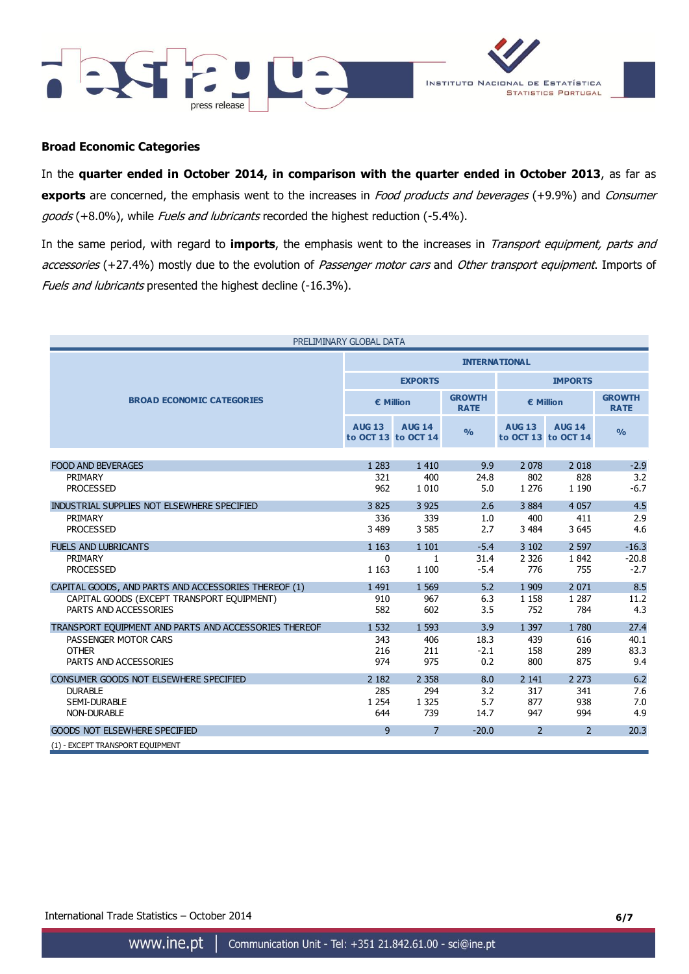



## **Broad Economic Categories**

In the **quarter ended in October 2014, in comparison with the quarter ended in October 2013**, as far as **exports** are concerned, the emphasis went to the increases in *Food products and beverages* (+9.9%) and *Consumer* goods (+8.0%), while Fuels and lubricants recorded the highest reduction (-5.4%).

In the same period, with regard to **imports**, the emphasis went to the increases in Transport equipment, parts and accessories (+27.4%) mostly due to the evolution of Passenger motor cars and Other transport equipment. Imports of Fuels and lubricants presented the highest decline (-16.3%).

| PRELIMINARY GLOBAL DATA                               |               |                                      |                              |                |                                      |                              |  |  |
|-------------------------------------------------------|---------------|--------------------------------------|------------------------------|----------------|--------------------------------------|------------------------------|--|--|
|                                                       |               | <b>INTERNATIONAL</b>                 |                              |                |                                      |                              |  |  |
|                                                       |               | <b>EXPORTS</b>                       |                              | <b>IMPORTS</b> |                                      |                              |  |  |
| <b>BROAD ECONOMIC CATEGORIES</b>                      |               | € Million                            | <b>GROWTH</b><br><b>RATE</b> | € Million      |                                      | <b>GROWTH</b><br><b>RATE</b> |  |  |
|                                                       | <b>AUG 13</b> | <b>AUG 14</b><br>to OCT 13 to OCT 14 | $\frac{9}{6}$                | <b>AUG 13</b>  | <b>AUG 14</b><br>to OCT 13 to OCT 14 | $\frac{0}{0}$                |  |  |
|                                                       |               |                                      |                              |                |                                      |                              |  |  |
| <b>FOOD AND BEVERAGES</b>                             | 1 2 8 3       | 1 4 1 0                              | 9.9                          | 2 0 7 8        | 2 0 18                               | $-2.9$                       |  |  |
| PRIMARY                                               | 321           | 400                                  | 24.8                         | 802            | 828                                  | 3.2                          |  |  |
| <b>PROCESSED</b>                                      | 962           | 1 0 1 0                              | 5.0                          | 1 2 7 6        | 1 1 9 0                              | $-6.7$                       |  |  |
| INDUSTRIAL SUPPLIES NOT ELSEWHERE SPECIFIED           | 3825          | 3 9 2 5                              | 2.6                          | 3 8 8 4        | 4 0 5 7                              | 4.5                          |  |  |
| PRIMARY                                               | 336           | 339                                  | 1.0                          | 400            | 411                                  | 2.9                          |  |  |
| <b>PROCESSED</b>                                      | 3 4 8 9       | 3 5 8 5                              | 2.7                          | 3 4 8 4        | 3 6 4 5                              | 4.6                          |  |  |
| <b>FUELS AND LUBRICANTS</b>                           | 1 1 6 3       | 1 1 0 1                              | $-5.4$                       | 3 1 0 2        | 2 5 9 7                              | $-16.3$                      |  |  |
| PRIMARY                                               | 0             | $\mathbf{1}$                         | 31.4                         | 2 3 2 6        | 1842                                 | $-20.8$                      |  |  |
| <b>PROCESSED</b>                                      | 1 1 6 3       | 1 100                                | $-5.4$                       | 776            | 755                                  | $-2.7$                       |  |  |
| CAPITAL GOODS, AND PARTS AND ACCESSORIES THEREOF (1)  | 1 4 9 1       | 1 5 6 9                              | 5.2                          | 1 9 0 9        | 2 0 7 1                              | 8.5                          |  |  |
| CAPITAL GOODS (EXCEPT TRANSPORT EQUIPMENT)            | 910           | 967                                  | 6.3                          | 1 1 5 8        | 1 2 8 7                              | 11.2                         |  |  |
| PARTS AND ACCESSORIES                                 | 582           | 602                                  | 3.5                          | 752            | 784                                  | 4.3                          |  |  |
| TRANSPORT EOUIPMENT AND PARTS AND ACCESSORIES THEREOF | 1 5 3 2       | 1 5 9 3                              | 3.9                          | 1 3 9 7        | 1780                                 | 27.4                         |  |  |
| PASSENGER MOTOR CARS                                  | 343           | 406                                  | 18.3                         | 439            | 616                                  | 40.1                         |  |  |
| <b>OTHER</b>                                          | 216           | 211                                  | $-2.1$                       | 158            | 289                                  | 83.3                         |  |  |
| PARTS AND ACCESSORIES                                 | 974           | 975                                  | 0.2                          | 800            | 875                                  | 9.4                          |  |  |
| CONSUMER GOODS NOT ELSEWHERE SPECIFIED                | 2 1 8 2       | 2 3 5 8                              | 8.0                          | 2 1 4 1        | 2 2 7 3                              | 6.2                          |  |  |
| <b>DURABLE</b>                                        | 285           | 294                                  | 3.2                          | 317            | 341                                  | 7.6                          |  |  |
| <b>SEMI-DURABLE</b>                                   | 1 2 5 4       | 1 3 2 5                              | 5.7                          | 877            | 938                                  | 7.0                          |  |  |
| <b>NON-DURABLE</b>                                    | 644           | 739                                  | 14.7                         | 947            | 994                                  | 4.9                          |  |  |
| <b>GOODS NOT ELSEWHERE SPECIFIED</b>                  | 9             | $\overline{7}$                       | $-20.0$                      | $\overline{2}$ | $\overline{2}$                       | 20.3                         |  |  |
| (1) - EXCEPT TRANSPORT EQUIPMENT                      |               |                                      |                              |                |                                      |                              |  |  |